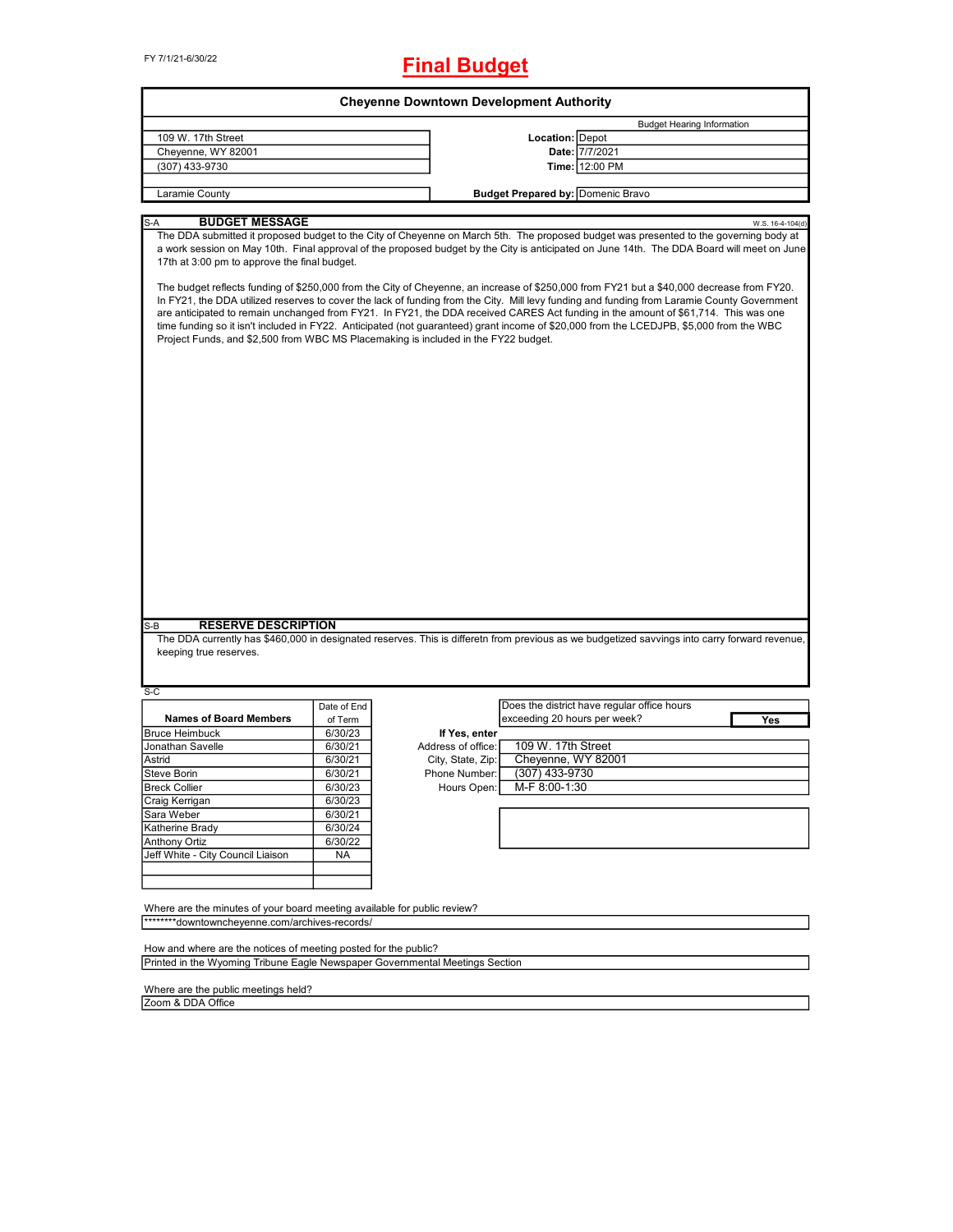|                                                                                    |             |                    | <b>Cheyenne Downtown Development Authority</b>                                                                                                                                                                                                                                                                                                                                                                                                                                                                                                                            |                  |
|------------------------------------------------------------------------------------|-------------|--------------------|---------------------------------------------------------------------------------------------------------------------------------------------------------------------------------------------------------------------------------------------------------------------------------------------------------------------------------------------------------------------------------------------------------------------------------------------------------------------------------------------------------------------------------------------------------------------------|------------------|
|                                                                                    |             |                    | <b>Budget Hearing Information</b>                                                                                                                                                                                                                                                                                                                                                                                                                                                                                                                                         |                  |
| 109 W. 17th Street                                                                 |             |                    | Location: Depot                                                                                                                                                                                                                                                                                                                                                                                                                                                                                                                                                           |                  |
| Cheyenne, WY 82001                                                                 |             |                    | Date: 7/7/2021                                                                                                                                                                                                                                                                                                                                                                                                                                                                                                                                                            |                  |
| (307) 433-9730                                                                     |             |                    | Time: 12:00 PM                                                                                                                                                                                                                                                                                                                                                                                                                                                                                                                                                            |                  |
| Laramie County                                                                     |             |                    |                                                                                                                                                                                                                                                                                                                                                                                                                                                                                                                                                                           |                  |
|                                                                                    |             |                    | <b>Budget Prepared by: Domenic Bravo</b>                                                                                                                                                                                                                                                                                                                                                                                                                                                                                                                                  |                  |
| <b>BUDGET MESSAGE</b><br>$S-A$                                                     |             |                    |                                                                                                                                                                                                                                                                                                                                                                                                                                                                                                                                                                           | W.S. 16-4-104(d) |
| 17th at 3:00 pm to approve the final budget.                                       |             |                    | The DDA submitted it proposed budget to the City of Cheyenne on March 5th. The proposed budget was presented to the governing body at<br>a work session on May 10th. Final approval of the proposed budget by the City is anticipated on June 14th. The DDA Board will meet on June                                                                                                                                                                                                                                                                                       |                  |
| Project Funds, and \$2,500 from WBC MS Placemaking is included in the FY22 budget. |             |                    | The budget reflects funding of \$250,000 from the City of Cheyenne, an increase of \$250,000 from FY21 but a \$40,000 decrease from FY20.<br>In FY21, the DDA utilized reserves to cover the lack of funding from the City. Mill levy funding and funding from Laramie County Government<br>are anticipated to remain unchanged from FY21. In FY21, the DDA received CARES Act funding in the amount of \$61,714. This was one<br>time funding so it isn't included in FY22. Anticipated (not guaranteed) grant income of \$20,000 from the LCEDJPB, \$5,000 from the WBC |                  |
|                                                                                    |             |                    |                                                                                                                                                                                                                                                                                                                                                                                                                                                                                                                                                                           |                  |
|                                                                                    |             |                    |                                                                                                                                                                                                                                                                                                                                                                                                                                                                                                                                                                           |                  |
|                                                                                    |             |                    |                                                                                                                                                                                                                                                                                                                                                                                                                                                                                                                                                                           |                  |
|                                                                                    |             |                    |                                                                                                                                                                                                                                                                                                                                                                                                                                                                                                                                                                           |                  |
| <b>RESERVE DESCRIPTION</b><br>$S-B$                                                |             |                    |                                                                                                                                                                                                                                                                                                                                                                                                                                                                                                                                                                           |                  |
| keeping true reserves.                                                             |             |                    | The DDA currently has \$460,000 in designated reserves. This is differetn from previous as we budgetized savvings into carry forward revenue,                                                                                                                                                                                                                                                                                                                                                                                                                             |                  |
| $S-C$                                                                              |             |                    |                                                                                                                                                                                                                                                                                                                                                                                                                                                                                                                                                                           |                  |
|                                                                                    | Date of End |                    | Does the district have regular office hours                                                                                                                                                                                                                                                                                                                                                                                                                                                                                                                               |                  |
| <b>Names of Board Members</b>                                                      | of Term     |                    | exceeding 20 hours per week?                                                                                                                                                                                                                                                                                                                                                                                                                                                                                                                                              | Yes              |
| <b>Bruce Heimbuck</b>                                                              | 6/30/23     | If Yes, enter      |                                                                                                                                                                                                                                                                                                                                                                                                                                                                                                                                                                           |                  |
| Jonathan Savelle                                                                   | 6/30/21     | Address of office: | 109 W. 17th Street                                                                                                                                                                                                                                                                                                                                                                                                                                                                                                                                                        |                  |
| Astrid                                                                             | 6/30/21     | City, State, Zip:  | Cheyenne, WY 82001                                                                                                                                                                                                                                                                                                                                                                                                                                                                                                                                                        |                  |
| Steve Borin                                                                        | 6/30/21     | Phone Number:      | (307) 433-9730                                                                                                                                                                                                                                                                                                                                                                                                                                                                                                                                                            |                  |
| <b>Breck Collier</b>                                                               | 6/30/23     | Hours Open:        | M-F 8:00-1:30                                                                                                                                                                                                                                                                                                                                                                                                                                                                                                                                                             |                  |
| Craig Kerrigan                                                                     | 6/30/23     |                    |                                                                                                                                                                                                                                                                                                                                                                                                                                                                                                                                                                           |                  |
| Sara Weber                                                                         | 6/30/21     |                    |                                                                                                                                                                                                                                                                                                                                                                                                                                                                                                                                                                           |                  |
| Katherine Brady                                                                    | 6/30/24     |                    |                                                                                                                                                                                                                                                                                                                                                                                                                                                                                                                                                                           |                  |
| <b>Anthony Ortiz</b>                                                               | 6/30/22     |                    |                                                                                                                                                                                                                                                                                                                                                                                                                                                                                                                                                                           |                  |
| Jeff White - City Council Liaison                                                  | NA          |                    |                                                                                                                                                                                                                                                                                                                                                                                                                                                                                                                                                                           |                  |
|                                                                                    |             |                    |                                                                                                                                                                                                                                                                                                                                                                                                                                                                                                                                                                           |                  |
| Where are the minutes of your board meeting available for public review?           |             |                    |                                                                                                                                                                                                                                                                                                                                                                                                                                                                                                                                                                           |                  |
| ********downtowncheyenne.com/archives-records/                                     |             |                    |                                                                                                                                                                                                                                                                                                                                                                                                                                                                                                                                                                           |                  |
| How and where are the notices of meeting posted for the public?                    |             |                    |                                                                                                                                                                                                                                                                                                                                                                                                                                                                                                                                                                           |                  |
| Printed in the Wyoming Tribune Eagle Newspaper Governmental Meetings Section       |             |                    |                                                                                                                                                                                                                                                                                                                                                                                                                                                                                                                                                                           |                  |
|                                                                                    |             |                    |                                                                                                                                                                                                                                                                                                                                                                                                                                                                                                                                                                           |                  |

Where are the public meetings held? Zoom & DDA Office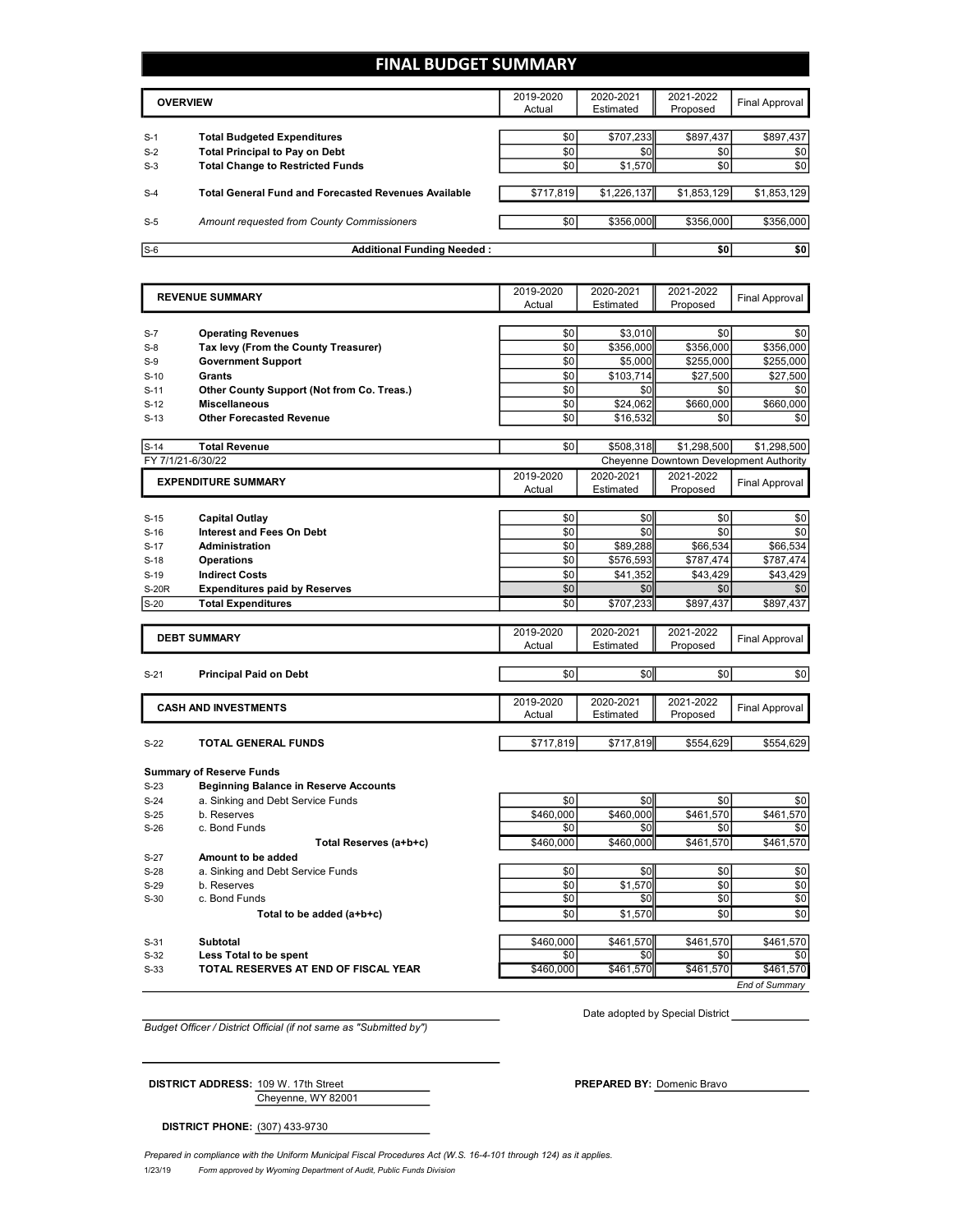#### **FINAL BUDGET SUMMARY**

|       | <b>OVERVIEW</b>                                             | 2019-2020<br>Actual | 2020-2021<br>Estimated | 2021-2022<br>Proposed | Final Approval |
|-------|-------------------------------------------------------------|---------------------|------------------------|-----------------------|----------------|
|       |                                                             |                     |                        |                       |                |
| $S-1$ | <b>Total Budgeted Expenditures</b>                          | \$0                 | \$707.233              | \$897.437             | \$897,437      |
| $S-2$ | <b>Total Principal to Pay on Debt</b>                       | \$0                 | \$0                    | \$0                   | \$0            |
| $S-3$ | <b>Total Change to Restricted Funds</b>                     | \$0                 | \$1,570                | \$0                   | \$0            |
|       |                                                             |                     |                        |                       |                |
| $S-4$ | <b>Total General Fund and Forecasted Revenues Available</b> | \$717,819           | \$1,226,137            | \$1,853,129           | \$1,853,129    |
|       |                                                             |                     |                        |                       |                |
| $S-5$ | Amount requested from County Commissioners                  | \$0                 | \$356,000              | \$356,000             | \$356,000      |
|       |                                                             |                     |                        |                       |                |
| $S-6$ | <b>Additional Funding Needed:</b>                           |                     |                        | \$0                   | \$0            |

|                  | <b>REVENUE SUMMARY</b>                       |                  | 2020-2021        | 2021-2022                               | <b>Final Approval</b> |
|------------------|----------------------------------------------|------------------|------------------|-----------------------------------------|-----------------------|
|                  |                                              | Actual           | Estimated        | Proposed                                |                       |
|                  |                                              |                  |                  |                                         |                       |
| $S-7$            | <b>Operating Revenues</b>                    | \$0              | \$3,010          | \$0                                     | \$0                   |
| $S-8$            | Tax levy (From the County Treasurer)         | \$0              | \$356,000        | \$356,000                               | \$356,000             |
| $S-9$            | <b>Government Support</b>                    | \$0              | \$5,000          | \$255,000                               | \$255,000             |
| $S-10$           | Grants                                       | \$0              | \$103,714        | \$27,500                                | \$27,500              |
| $S-11$           | Other County Support (Not from Co. Treas.)   | \$0              | \$0              | \$0                                     | \$0                   |
| $S-12$           | <b>Miscellaneous</b>                         | \$0              | \$24,062         | \$660,000                               | \$660.000             |
| $S-13$           | <b>Other Forecasted Revenue</b>              | \$0              | \$16,532         | \$0                                     | \$0                   |
| $S-14$           | <b>Total Revenue</b>                         | \$0              | \$508,318        | \$1.298.500                             | \$1.298.500           |
|                  | FY 7/1/21-6/30/22                            |                  |                  | Cheyenne Downtown Development Authority |                       |
|                  | <b>EXPENDITURE SUMMARY</b>                   | 2019-2020        | 2020-2021        | 2021-2022                               |                       |
|                  |                                              | Actual           | Estimated        | Proposed                                | <b>Final Approval</b> |
|                  |                                              |                  |                  |                                         |                       |
| $S-15$           | <b>Capital Outlay</b>                        | \$0              | \$0              | \$0                                     | \$0                   |
| $S-16$           | <b>Interest and Fees On Debt</b>             | \$0              | \$0              | \$0                                     | \$0                   |
| $S-17$           | <b>Administration</b>                        | \$0              | \$89,288         | \$66,534                                | \$66,534              |
| $S-18$           | <b>Operations</b>                            | \$0              | \$576,593        | \$787,474                               | \$787,474             |
| $S-19$           | <b>Indirect Costs</b>                        | \$0              | \$41,352         | \$43,429                                | \$43,429              |
| <b>S-20R</b>     | <b>Expenditures paid by Reserves</b>         | \$0              | \$0              | \$0                                     | \$0                   |
| $S-20$           | <b>Total Expenditures</b>                    | \$0              | \$707,233        | \$897,437                               | \$897,437             |
|                  |                                              |                  |                  |                                         |                       |
|                  | <b>DEBT SUMMARY</b>                          | 2019-2020        | 2020-2021        | 2021-2022                               | <b>Final Approval</b> |
|                  |                                              |                  |                  |                                         |                       |
|                  |                                              | Actual           | Estimated        | Proposed                                |                       |
|                  |                                              |                  |                  |                                         |                       |
| $S-21$           | <b>Principal Paid on Debt</b>                | \$0              | \$0              | \$0                                     | \$0                   |
|                  |                                              | 2019-2020        | 2020-2021        | 2021-2022                               |                       |
|                  | <b>CASH AND INVESTMENTS</b>                  | Actual           | Estimated        | Proposed                                | <b>Final Approval</b> |
|                  |                                              |                  |                  |                                         |                       |
| $S-22$           | TOTAL GENERAL FUNDS                          | \$717,819        | \$717,819        | \$554,629                               | \$554,629             |
|                  |                                              |                  |                  |                                         |                       |
|                  | <b>Summary of Reserve Funds</b>              |                  |                  |                                         |                       |
| $S-23$           | <b>Beginning Balance in Reserve Accounts</b> |                  |                  |                                         |                       |
| $S-24$           | a. Sinking and Debt Service Funds            | \$0              | \$0              | \$0                                     | \$0                   |
| $S-25$<br>$S-26$ | b. Reserves<br>c. Bond Funds                 | \$460,000<br>\$0 | \$460,000<br>\$0 | \$461,570<br>\$0                        | \$461,570             |
|                  |                                              |                  |                  |                                         | \$0                   |
| $S-27$           | Total Reserves (a+b+c)<br>Amount to be added | \$460,000        | \$460,000        | \$461,570                               | \$461,570             |
| $S-28$           | a. Sinking and Debt Service Funds            | \$0              | \$0              | \$0                                     | \$0                   |
| $S-29$           | b. Reserves                                  | \$0              | \$1,570          | \$0                                     | \$0                   |
| $S-30$           | c. Bond Funds                                | \$0              | \$0              | \$0                                     | \$0                   |
|                  | Total to be added (a+b+c)                    | \$0              | \$1,570          | \$0                                     | \$0                   |
|                  |                                              |                  |                  |                                         |                       |
| $S-31$           | Subtotal                                     | \$460,000        | \$461,570        | \$461,570                               | \$461.570             |
| $S-32$           | Less Total to be spent                       | \$0              | \$0              | \$0                                     | \$0                   |

*Budget Officer / District Official (if not same as "Submitted by")*

Date adopted by Special District

*End of Summary*

Cheyenne, WY 82001 **DISTRICT ADDRESS:** 109 W. 17th Street **PREPARED BY: Domenic Bravo PREPARED BY: Domenic Bravo** 

**DISTRICT PHONE:** (307) 433-9730

1/23/19 *Form approved by Wyoming Department of Audit, Public Funds Division Prepared in compliance with the Uniform Municipal Fiscal Procedures Act (W.S. 16-4-101 through 124) as it applies.*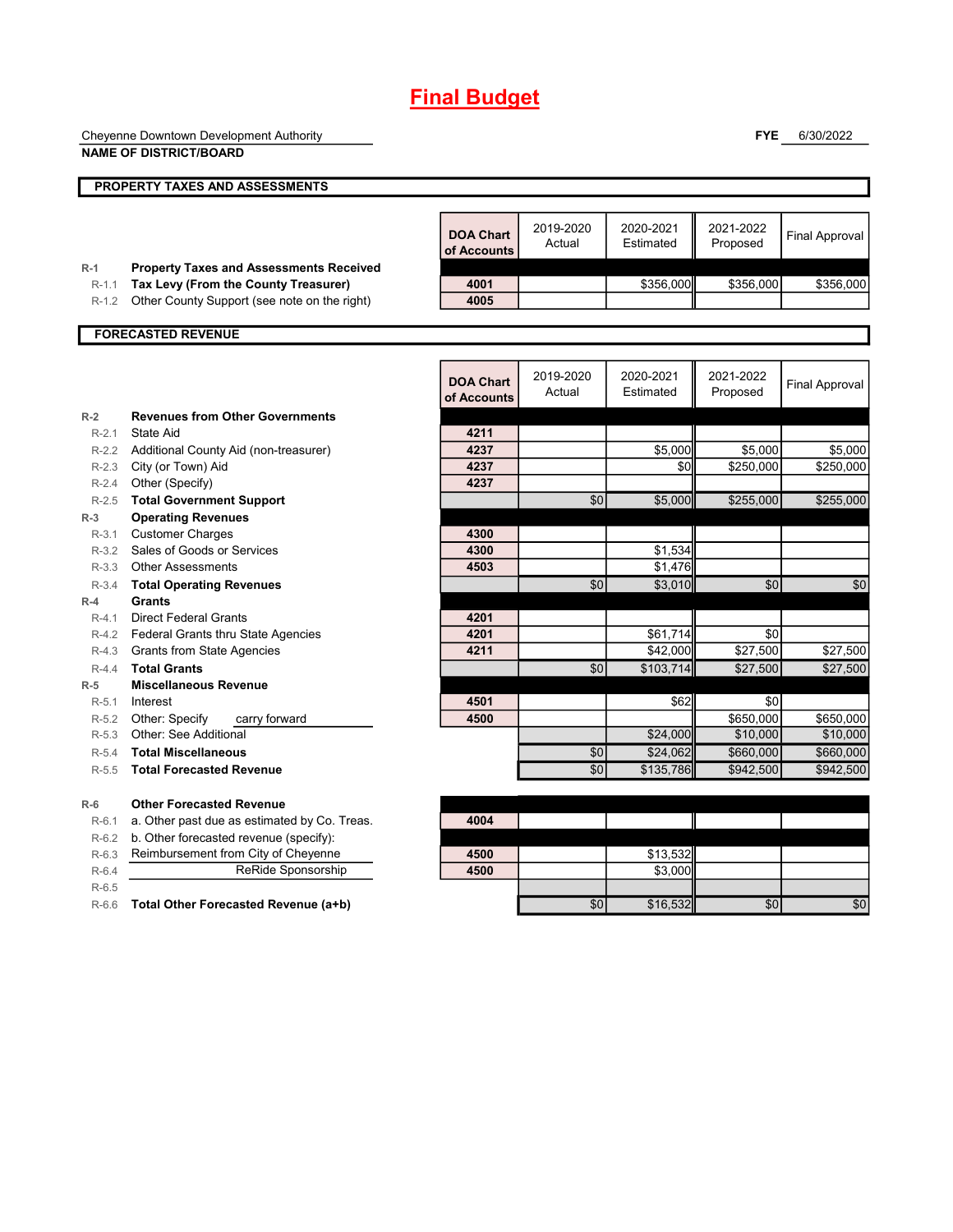|                      | Cheyenne Downtown Development Authority                                                |                                 |                     |                        | <b>FYE</b>            | 6/30/2022             |
|----------------------|----------------------------------------------------------------------------------------|---------------------------------|---------------------|------------------------|-----------------------|-----------------------|
|                      | <b>NAME OF DISTRICT/BOARD</b>                                                          |                                 |                     |                        |                       |                       |
|                      | PROPERTY TAXES AND ASSESSMENTS                                                         |                                 |                     |                        |                       |                       |
|                      |                                                                                        |                                 |                     |                        |                       |                       |
|                      |                                                                                        | <b>DOA Chart</b><br>of Accounts | 2019-2020<br>Actual | 2020-2021<br>Estimated | 2021-2022<br>Proposed | <b>Final Approval</b> |
| $R-1$                | <b>Property Taxes and Assessments Received</b><br>Tax Levy (From the County Treasurer) | 4001                            |                     | \$356,000              | \$356,000             | \$356,000             |
| $R - 1.1$<br>$R-1.2$ | Other County Support (see note on the right)                                           | 4005                            |                     |                        |                       |                       |
|                      |                                                                                        |                                 |                     |                        |                       |                       |
|                      | <b>FORECASTED REVENUE</b>                                                              |                                 |                     |                        |                       |                       |
|                      |                                                                                        |                                 |                     |                        |                       |                       |
|                      |                                                                                        | <b>DOA Chart</b><br>of Accounts | 2019-2020<br>Actual | 2020-2021<br>Estimated | 2021-2022<br>Proposed | <b>Final Approval</b> |
| $R-2$                | <b>Revenues from Other Governments</b>                                                 |                                 |                     |                        |                       |                       |
| $R-2.1$              | State Aid                                                                              | 4211                            |                     |                        |                       |                       |
| $R - 2.2$            | Additional County Aid (non-treasurer)                                                  | 4237                            |                     | \$5,000                | \$5,000               | \$5,000               |
| $R - 2.3$            | City (or Town) Aid                                                                     | 4237                            |                     | \$0                    | \$250,000             | \$250,000             |
| $R-2.4$              | Other (Specify)                                                                        | 4237                            |                     |                        |                       |                       |
| $R-2.5$              | <b>Total Government Support</b>                                                        |                                 | \$0                 | \$5,000                | \$255,000             | \$255,000             |
| $R-3$<br>$R-3.1$     | <b>Operating Revenues</b><br><b>Customer Charges</b>                                   | 4300                            |                     |                        |                       |                       |
| $R-3.2$              | Sales of Goods or Services                                                             | 4300                            |                     | \$1,534                |                       |                       |
| $R - 3.3$            | <b>Other Assessments</b>                                                               | 4503                            |                     | \$1,476                |                       |                       |
| $R-3.4$              | <b>Total Operating Revenues</b>                                                        |                                 | \$0                 | \$3,010                | \$0                   | \$0                   |
| $R-4$                | <b>Grants</b>                                                                          |                                 |                     |                        |                       |                       |
| $R-4.1$              | <b>Direct Federal Grants</b>                                                           | 4201                            |                     |                        |                       |                       |
|                      | R-4.2 Federal Grants thru State Agencies                                               | 4201                            |                     | \$61,714               | \$0                   |                       |
|                      | R-4.3 Grants from State Agencies                                                       | 4211                            |                     | \$42,000               | \$27,500              | \$27,500              |
| $R-4.4$              | <b>Total Grants</b>                                                                    |                                 | \$0                 | \$103,714              | \$27,500              | \$27,500              |
| $R-5$                | <b>Miscellaneous Revenue</b>                                                           |                                 |                     |                        |                       |                       |
| $R-5.1$              | Interest                                                                               | 4501                            |                     | \$62                   | \$0                   |                       |
| $R-5.2$              | Other: Specify<br>carry forward                                                        | 4500                            |                     |                        | \$650,000             | \$650,000             |
| $R-5.3$              | Other: See Additional                                                                  |                                 |                     | \$24,000               | \$10,000              | \$10,000              |
| $R-5.4$              | <b>Total Miscellaneous</b>                                                             |                                 | \$0                 | \$24.062               | \$660.000             | \$660.000             |
| $R-5.5$              | <b>Total Forecasted Revenue</b>                                                        |                                 | \$0                 | \$135,786              | \$942,500             | \$942,500             |
| $R-6$                | <b>Other Forecasted Revenue</b>                                                        |                                 |                     |                        |                       |                       |
| $R-6.1$              | a. Other past due as estimated by Co. Treas.                                           | 4004                            |                     |                        |                       |                       |
| $R-6.2$              | b. Other forecasted revenue (specify):                                                 |                                 |                     |                        |                       |                       |
| $R-6.3$              | Reimbursement from City of Cheyenne                                                    | 4500                            |                     | \$13,532               |                       |                       |
| $R-6.4$              | ReRide Sponsorship                                                                     | 4500                            |                     | \$3,000                |                       |                       |
| $R-6.5$              |                                                                                        |                                 |                     |                        |                       |                       |
| $R-6.6$              | Total Other Forecasted Revenue (a+b)                                                   |                                 | \$0                 | \$16,532               | \$0                   | \$0                   |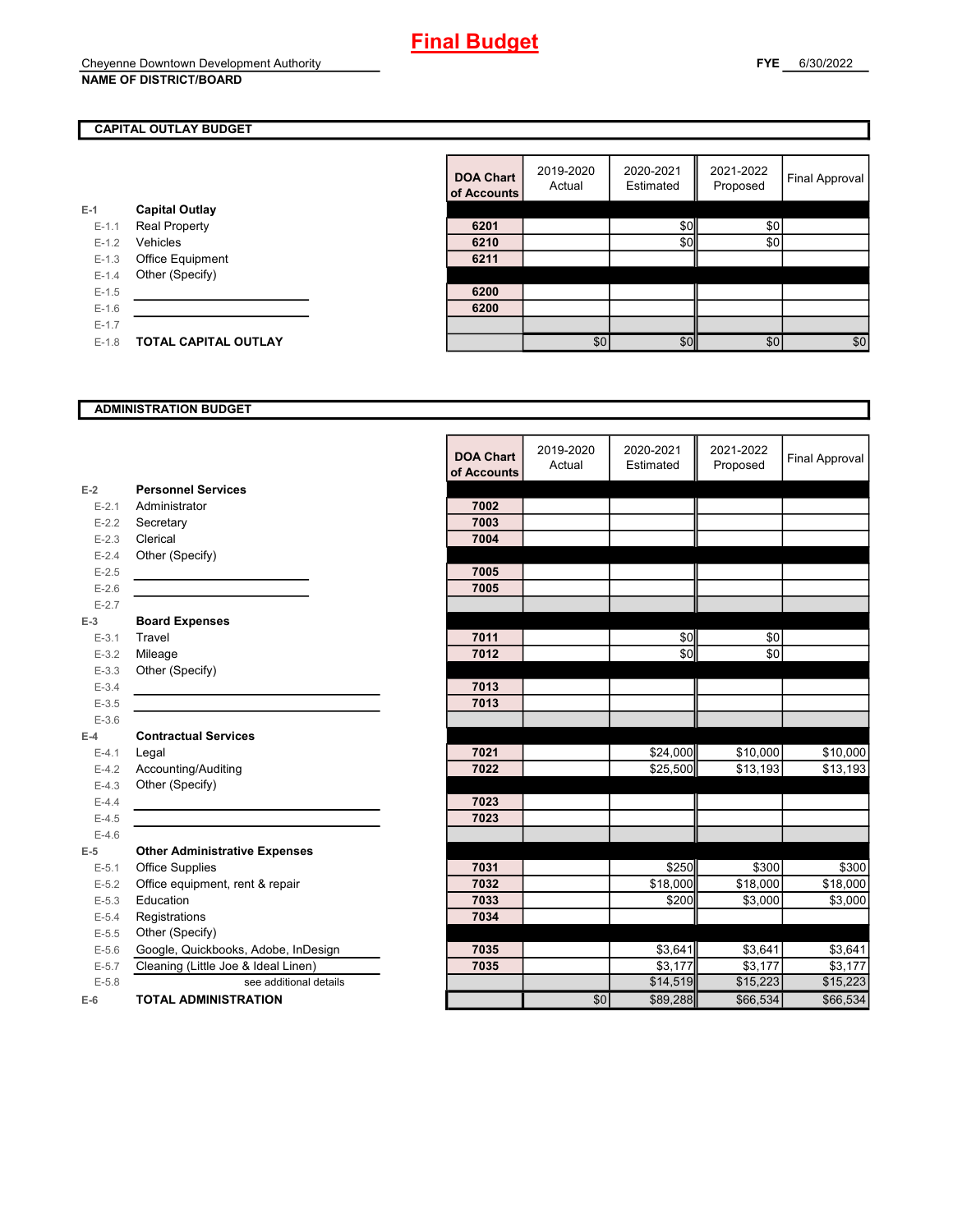#### **CAPITAL OUTLAY BUDGET**

|           |                             | vi rwyvu |
|-----------|-----------------------------|----------|
| $E-1$     | <b>Capital Outlay</b>       |          |
| $E - 1.1$ | <b>Real Property</b>        | 6201     |
| $E - 1.2$ | Vehicles                    | 6210     |
| $E - 1.3$ | Office Equipment            | 6211     |
| $E - 1.4$ | Other (Specify)             |          |
| $E-1.5$   |                             | 6200     |
| $E - 1.6$ |                             | 6200     |
| $E - 1.7$ |                             |          |
| $E - 1.8$ | <b>TOTAL CAPITAL OUTLAY</b> |          |
|           |                             |          |

|         |                             | <b>DOA Chart</b><br>of Accounts | 2019-2020<br>Actual | 2020-2021<br>Estimated | 2021-2022<br>Proposed | <b>Final Approval</b> |
|---------|-----------------------------|---------------------------------|---------------------|------------------------|-----------------------|-----------------------|
|         | <b>Capital Outlay</b>       |                                 |                     |                        |                       |                       |
| $E-1.1$ | Real Property               | 6201                            |                     | \$0                    | \$0                   |                       |
| $E-1.2$ | Vehicles                    | 6210                            |                     | \$0                    | \$0                   |                       |
| $E-1.3$ | Office Equipment            | 6211                            |                     |                        |                       |                       |
| $E-1.4$ | Other (Specify)             |                                 |                     |                        |                       |                       |
| $E-1.5$ |                             | 6200                            |                     |                        |                       |                       |
| $E-1.6$ |                             | 6200                            |                     |                        |                       |                       |
| $E-1.7$ |                             |                                 |                     |                        |                       |                       |
| $E-1.8$ | <b>TOTAL CAPITAL OUTLAY</b> |                                 | \$0                 | \$0                    | \$0                   | \$0                   |
|         |                             |                                 |                     |                        |                       |                       |

**ADMINISTRATION BUDGET**

|           |                                      | <b>DOA Chart</b><br>of Accounts | 2019-2020<br>Actual | 2020-2021<br>Estimated | 2021-2022<br>Proposed | <b>Final Approval</b> |
|-----------|--------------------------------------|---------------------------------|---------------------|------------------------|-----------------------|-----------------------|
| $E-2$     | <b>Personnel Services</b>            |                                 |                     |                        |                       |                       |
| $E - 2.1$ | Administrator                        | 7002                            |                     |                        |                       |                       |
| $E - 2.2$ | Secretary                            | 7003                            |                     |                        |                       |                       |
| $E-2.3$   | Clerical                             | 7004                            |                     |                        |                       |                       |
| $E - 2.4$ | Other (Specify)                      |                                 |                     |                        |                       |                       |
| $E-2.5$   |                                      | 7005                            |                     |                        |                       |                       |
| $E-2.6$   |                                      | 7005                            |                     |                        |                       |                       |
| $E - 2.7$ |                                      |                                 |                     |                        |                       |                       |
| $E-3$     | <b>Board Expenses</b>                |                                 |                     |                        |                       |                       |
| $E - 3.1$ | Travel                               | 7011                            |                     | \$0                    | \$0                   |                       |
| $E - 3.2$ | Mileage                              | 7012                            |                     | \$0                    | \$0                   |                       |
| $E - 3.3$ | Other (Specify)                      |                                 |                     |                        |                       |                       |
| $E - 3.4$ |                                      | 7013                            |                     |                        |                       |                       |
| $E-3.5$   |                                      | 7013                            |                     |                        |                       |                       |
| $E-3.6$   |                                      |                                 |                     |                        |                       |                       |
| $E-4$     | <b>Contractual Services</b>          |                                 |                     |                        |                       |                       |
| $E-4.1$   | Legal                                | 7021                            |                     | \$24,000               | \$10,000              | \$10,000              |
| $E-4.2$   | Accounting/Auditing                  | 7022                            |                     | \$25,500               | \$13,193              | \$13,193              |
| $E-4.3$   | Other (Specify)                      |                                 |                     |                        |                       |                       |
| $E-4.4$   |                                      | 7023                            |                     |                        |                       |                       |
| $E-4.5$   |                                      | 7023                            |                     |                        |                       |                       |
| $E-4.6$   |                                      |                                 |                     |                        |                       |                       |
| $E-5$     | <b>Other Administrative Expenses</b> |                                 |                     |                        |                       |                       |
| $E - 5.1$ | <b>Office Supplies</b>               | 7031                            |                     | \$250                  | \$300                 | \$300                 |
| $E - 5.2$ | Office equipment, rent & repair      | 7032                            |                     | \$18,000               | \$18,000              | \$18,000              |
| $E - 5.3$ | Education                            | 7033                            |                     | \$200                  | \$3,000               | \$3,000               |
| $E-5.4$   | Registrations                        | 7034                            |                     |                        |                       |                       |
| $E - 5.5$ | Other (Specify)                      |                                 |                     |                        |                       |                       |
| $E-5.6$   | Google, Quickbooks, Adobe, InDesign  | 7035                            |                     | \$3,641                | \$3,641               | \$3,641               |
| $E - 5.7$ | Cleaning (Little Joe & Ideal Linen)  | 7035                            |                     | \$3,177                | \$3,177               | \$3,177               |
| $E - 5.8$ | see additional details               |                                 |                     | \$14,519               | \$15,223              | \$15,223              |
| $E-6$     | <b>TOTAL ADMINISTRATION</b>          |                                 | \$0                 | \$89,288               | \$66.534              | \$66,534              |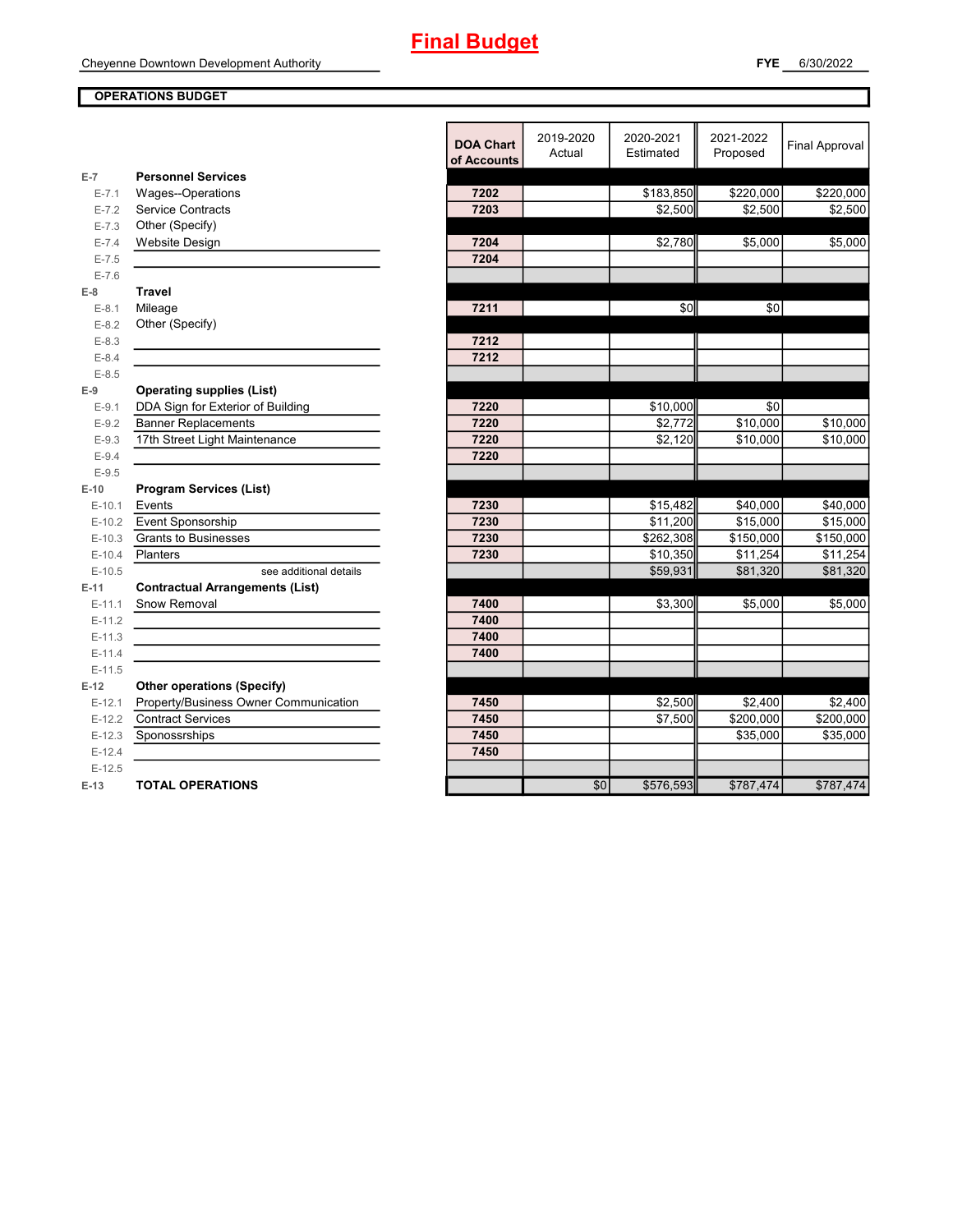#### **OPERATIONS BUDGET**

| $E-7$     | <b>Personnel Services</b>              | <b>DOA Chart</b><br>of Accounts | 2019-2020<br>Actual | 2020-2021<br>Estimated | 2021-2022<br>Proposed | <b>Final Approval</b> |
|-----------|----------------------------------------|---------------------------------|---------------------|------------------------|-----------------------|-----------------------|
| $E - 7.1$ | Wages--Operations                      | 7202                            |                     | \$183,850              | \$220,000             | \$220,000             |
| $E - 7.2$ | Service Contracts                      | 7203                            |                     | \$2,500                | \$2,500               | \$2,500               |
| $E - 7.3$ | Other (Specify)                        |                                 |                     |                        |                       |                       |
| $E - 7.4$ | <b>Website Design</b>                  | 7204                            |                     | \$2,780                | \$5,000               | \$5,000               |
| $E - 7.5$ |                                        | 7204                            |                     |                        |                       |                       |
| $E-7.6$   |                                        |                                 |                     |                        |                       |                       |
| $E-8$     | <b>Travel</b>                          |                                 |                     |                        |                       |                       |
| $E-8.1$   | Mileage                                | 7211                            |                     | \$0                    | \$0                   |                       |
| $E-8.2$   | Other (Specify)                        |                                 |                     |                        |                       |                       |
| $E - 8.3$ |                                        | 7212                            |                     |                        |                       |                       |
| $E-8.4$   |                                        | 7212                            |                     |                        |                       |                       |
| $E - 8.5$ |                                        |                                 |                     |                        |                       |                       |
| $E-9$     | <b>Operating supplies (List)</b>       |                                 |                     |                        |                       |                       |
| $E-9.1$   | DDA Sign for Exterior of Building      | 7220                            |                     | \$10,000               | \$0                   |                       |
| $E-9.2$   | <b>Banner Replacements</b>             | 7220                            |                     | \$2.772                | \$10,000              | \$10,000              |
| $E-9.3$   | 17th Street Light Maintenance          | 7220                            |                     | \$2,120                | \$10,000              | \$10,000              |
| $E-9.4$   |                                        | 7220                            |                     |                        |                       |                       |
| $E-9.5$   |                                        |                                 |                     |                        |                       |                       |
| $E-10$    | <b>Program Services (List)</b>         |                                 |                     |                        |                       |                       |
| $E-10.1$  | Events                                 | 7230                            |                     | \$15,482               | \$40.000              | \$40,000              |
| $E-10.2$  | Event Sponsorship                      | 7230                            |                     | \$11,200               | \$15,000              | \$15,000              |
| $E-10.3$  | <b>Grants to Businesses</b>            | 7230                            |                     | \$262,308              | \$150,000             | \$150,000             |
| $E-10.4$  | Planters                               | 7230                            |                     | \$10,350               | \$11,254              | \$11,254              |
| $E-10.5$  | see additional details                 |                                 |                     | \$59,931               | \$81,320              | \$81,320              |
| $E-11$    | <b>Contractual Arrangements (List)</b> |                                 |                     |                        |                       |                       |
| $E-11.1$  | Snow Removal                           | 7400                            |                     | \$3,300                | \$5,000               | \$5,000               |
| $E-11.2$  |                                        | 7400                            |                     |                        |                       |                       |
| $E-11.3$  |                                        | 7400                            |                     |                        |                       |                       |
| $E-11.4$  |                                        | 7400                            |                     |                        |                       |                       |
| $E-11.5$  |                                        |                                 |                     |                        |                       |                       |
| $E-12$    | <b>Other operations (Specify)</b>      |                                 |                     |                        |                       |                       |
| $E-12.1$  | Property/Business Owner Communication  | 7450                            |                     | \$2,500                | \$2,400               | \$2,400               |
| $E-12.2$  | <b>Contract Services</b>               | 7450                            |                     | \$7,500                | \$200,000             | \$200,000             |
| $E-12.3$  | Sponossrships                          | 7450                            |                     |                        | \$35,000              | \$35,000              |
| $E-12.4$  |                                        | 7450                            |                     |                        |                       |                       |
| $E-12.5$  |                                        |                                 |                     |                        |                       |                       |
| $E-13$    | <b>TOTAL OPERATIONS</b>                |                                 | \$0                 | \$576,593              | \$787,474             | \$787,474             |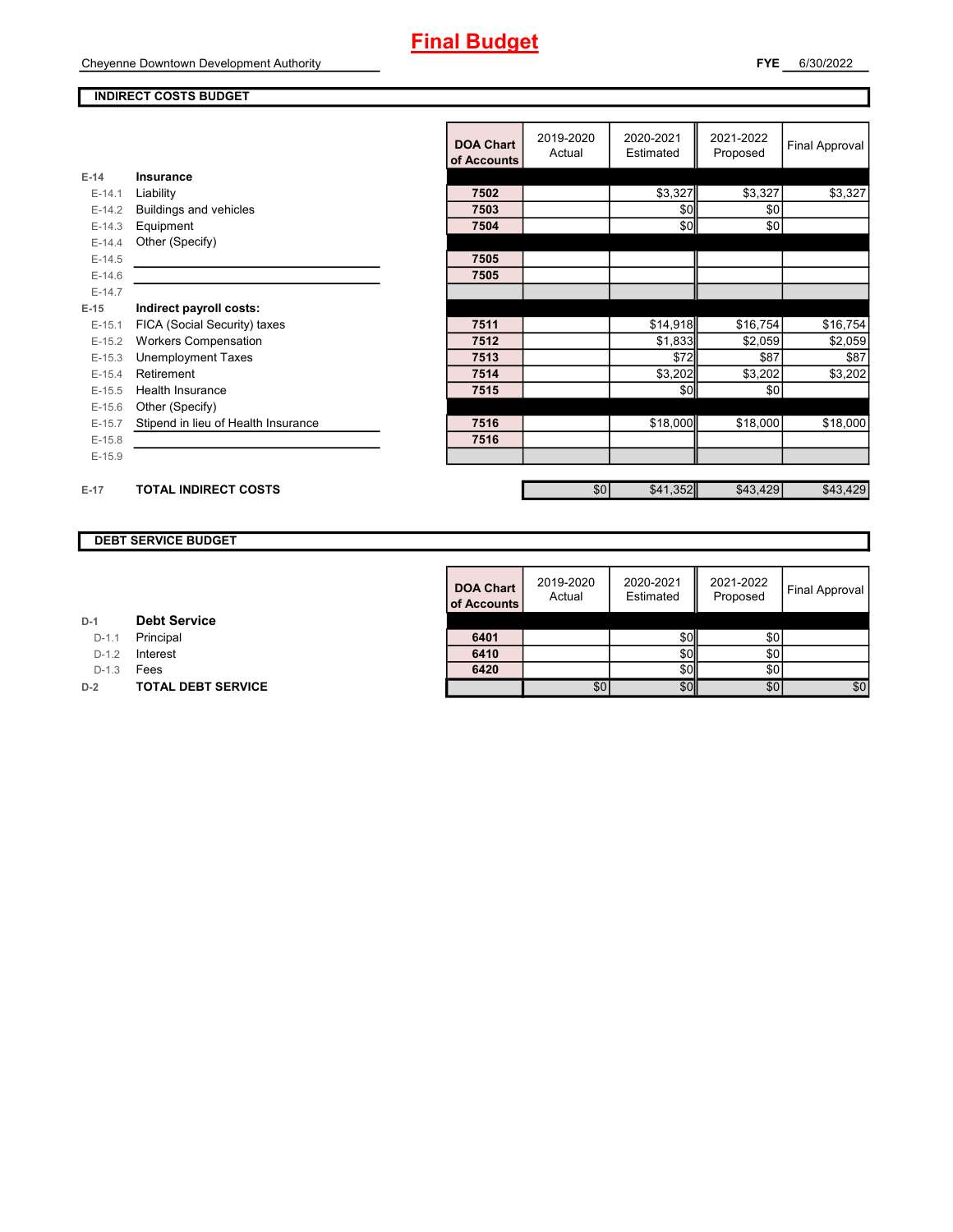#### **INDIRECT COSTS BUDGET**

|          |                                     | <b>DOA Chart</b><br>of Accounts | 2019-2020<br>Actual | 2020-2021<br>Estimated | 2021-2022<br>Proposed | <b>Final Approval</b> |
|----------|-------------------------------------|---------------------------------|---------------------|------------------------|-----------------------|-----------------------|
| $E-14$   | Insurance                           |                                 |                     |                        |                       |                       |
| $E-14.1$ | Liability                           | 7502                            |                     | \$3,327                | \$3,327               | \$3,327               |
| $E-14.2$ | Buildings and vehicles              | 7503                            |                     | \$0                    | \$0                   |                       |
| $E-14.3$ | Equipment                           | 7504                            |                     | \$0                    | \$0                   |                       |
| $E-14.4$ | Other (Specify)                     |                                 |                     |                        |                       |                       |
| $E-14.5$ |                                     | 7505                            |                     |                        |                       |                       |
| $E-14.6$ |                                     | 7505                            |                     |                        |                       |                       |
| $E-14.7$ |                                     |                                 |                     |                        |                       |                       |
| $E-15$   | Indirect payroll costs:             |                                 |                     |                        |                       |                       |
| $E-15.1$ | FICA (Social Security) taxes        | 7511                            |                     | \$14,918               | \$16,754              | \$16,754              |
| $E-15.2$ | <b>Workers Compensation</b>         | 7512                            |                     | \$1,833                | \$2,059               | \$2,059               |
| $E-15.3$ | <b>Unemployment Taxes</b>           | 7513                            |                     | \$72                   | \$87                  | \$87                  |
| $E-15.4$ | Retirement                          | 7514                            |                     | \$3,202                | \$3,202               | \$3,202               |
| $E-15.5$ | <b>Health Insurance</b>             | 7515                            |                     | \$0                    | \$0                   |                       |
| $E-15.6$ | Other (Specify)                     |                                 |                     |                        |                       |                       |
| $E-15.7$ | Stipend in lieu of Health Insurance | 7516                            |                     | \$18,000               | \$18,000              | \$18,000              |
| $E-15.8$ |                                     | 7516                            |                     |                        |                       |                       |
| $E-15.9$ |                                     |                                 |                     |                        |                       |                       |
|          |                                     |                                 |                     |                        |                       |                       |
| $E-17$   | <b>TOTAL INDIRECT COSTS</b>         |                                 | \$0                 | \$41,352               | \$43,429              | \$43,429              |

### **DEBT SERVICE BUDGET**

|                           | <b>DOA Chart</b><br>of Accounts | 2019-2020<br>Actual | 2020-2021<br>Estimated | 2021-2022<br>Proposed | Final Approval                        |
|---------------------------|---------------------------------|---------------------|------------------------|-----------------------|---------------------------------------|
| <b>Debt Service</b>       |                                 |                     |                        |                       |                                       |
| Principal                 | 6401                            |                     |                        | \$0                   |                                       |
| Interest                  | 6410                            |                     |                        | \$0                   |                                       |
| Fees                      | 6420                            |                     |                        | \$0                   |                                       |
| <b>TOTAL DEBT SERVICE</b> |                                 |                     |                        | \$0                   | \$0                                   |
|                           |                                 |                     |                        | \$0                   | \$0<br>\$0<br>\$0 <sub>l</sub><br>\$0 |

**D-1 Debt Service**

D-1.1 **Principal** 

D-1.2 **Interest** 

**D-2 TOTAL DEBT SERVICE**